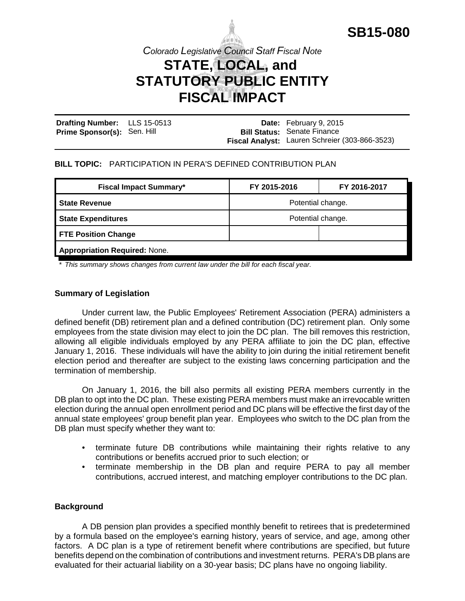

*Colorado Legislative Council Staff Fiscal Note*

# **STATE, LOCAL, and STATUTORY PUBLIC ENTITY**

# **FISCAL IMPACT**

| Drafting Number: LLS 15-0513       |  | <b>Date:</b> February 9, 2015                  |
|------------------------------------|--|------------------------------------------------|
| <b>Prime Sponsor(s): Sen. Hill</b> |  | <b>Bill Status: Senate Finance</b>             |
|                                    |  | Fiscal Analyst: Lauren Schreier (303-866-3523) |

#### **BILL TOPIC:** PARTICIPATION IN PERA'S DEFINED CONTRIBUTION PLAN

| <b>Fiscal Impact Summary*</b>        | FY 2015-2016      | FY 2016-2017 |  |  |
|--------------------------------------|-------------------|--------------|--|--|
| <b>State Revenue</b>                 | Potential change. |              |  |  |
| <b>State Expenditures</b>            | Potential change. |              |  |  |
| <b>FTE Position Change</b>           |                   |              |  |  |
| <b>Appropriation Required: None.</b> |                   |              |  |  |

*\* This summary shows changes from current law under the bill for each fiscal year.* 

# **Summary of Legislation**

Under current law, the Public Employees' Retirement Association (PERA) administers a defined benefit (DB) retirement plan and a defined contribution (DC) retirement plan. Only some employees from the state division may elect to join the DC plan. The bill removes this restriction, allowing all eligible individuals employed by any PERA affiliate to join the DC plan, effective January 1, 2016. These individuals will have the ability to join during the initial retirement benefit election period and thereafter are subject to the existing laws concerning participation and the termination of membership.

On January 1, 2016, the bill also permits all existing PERA members currently in the DB plan to opt into the DC plan. These existing PERA members must make an irrevocable written election during the annual open enrollment period and DC plans will be effective the first day of the annual state employees' group benefit plan year. Employees who switch to the DC plan from the DB plan must specify whether they want to:

- terminate future DB contributions while maintaining their rights relative to any contributions or benefits accrued prior to such election; or
- terminate membership in the DB plan and require PERA to pay all member contributions, accrued interest, and matching employer contributions to the DC plan.

# **Background**

A DB pension plan provides a specified monthly benefit to retirees that is predetermined by a formula based on the employee's earning history, years of service, and age, among other factors. A DC plan is a type of retirement benefit where contributions are specified, but future benefits depend on the combination of contributions and investment returns. PERA's DB plans are evaluated for their actuarial liability on a 30-year basis; DC plans have no ongoing liability.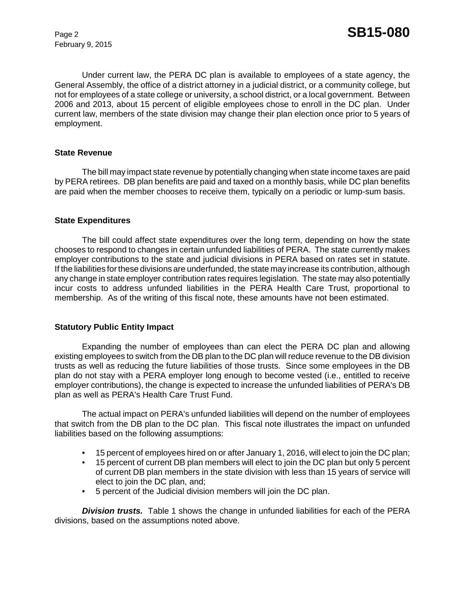February 9, 2015

Under current law, the PERA DC plan is available to employees of a state agency, the General Assembly, the office of a district attorney in a judicial district, or a community college, but not for employees of a state college or university, a school district, or a local government. Between 2006 and 2013, about 15 percent of eligible employees chose to enroll in the DC plan. Under current law, members of the state division may change their plan election once prior to 5 years of employment.

#### **State Revenue**

The bill may impact state revenue by potentially changing when state income taxes are paid by PERA retirees. DB plan benefits are paid and taxed on a monthly basis, while DC plan benefits are paid when the member chooses to receive them, typically on a periodic or lump-sum basis.

#### **State Expenditures**

The bill could affect state expenditures over the long term, depending on how the state chooses to respond to changes in certain unfunded liabilities of PERA. The state currently makes employer contributions to the state and judicial divisions in PERA based on rates set in statute. If the liabilities for these divisions are underfunded, the state may increase its contribution, although any change in state employer contribution rates requires legislation. The state may also potentially incur costs to address unfunded liabilities in the PERA Health Care Trust, proportional to membership. As of the writing of this fiscal note, these amounts have not been estimated.

#### **Statutory Public Entity Impact**

Expanding the number of employees than can elect the PERA DC plan and allowing existing employees to switch from the DB plan to the DC plan will reduce revenue to the DB division trusts as well as reducing the future liabilities of those trusts. Since some employees in the DB plan do not stay with a PERA employer long enough to become vested (i.e., entitled to receive employer contributions), the change is expected to increase the unfunded liabilities of PERA's DB plan as well as PERA's Health Care Trust Fund.

The actual impact on PERA's unfunded liabilities will depend on the number of employees that switch from the DB plan to the DC plan. This fiscal note illustrates the impact on unfunded liabilities based on the following assumptions:

- 15 percent of employees hired on or after January 1, 2016, will elect to join the DC plan;
- 15 percent of current DB plan members will elect to join the DC plan but only 5 percent of current DB plan members in the state division with less than 15 years of service will elect to join the DC plan, and;
- 5 percent of the Judicial division members will join the DC plan.

*Division trusts.* Table 1 shows the change in unfunded liabilities for each of the PERA divisions, based on the assumptions noted above.